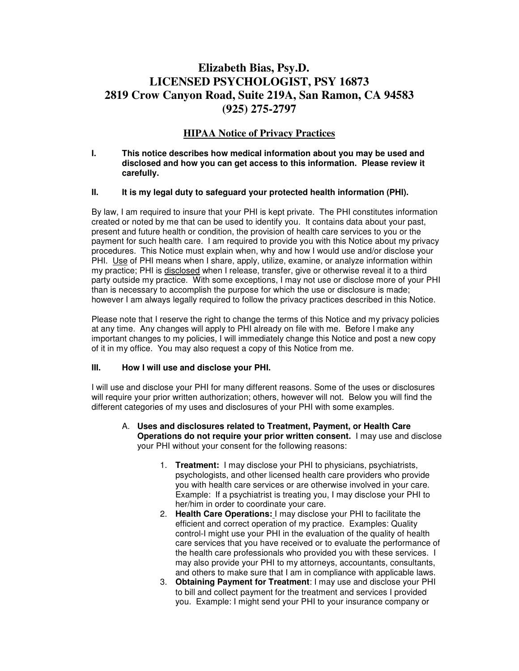## **Elizabeth Bias, Psy.D. LICENSED PSYCHOLOGIST, PSY 16873 2819 Crow Canyon Road, Suite 219A, San Ramon, CA 94583 (925) 275-2797**

### **HIPAA Notice of Privacy Practices**

#### **I. This notice describes how medical information about you may be used and disclosed and how you can get access to this information. Please review it carefully.**

#### **II. It is my legal duty to safeguard your protected health information (PHI).**

By law, I am required to insure that your PHI is kept private. The PHI constitutes information created or noted by me that can be used to identify you. It contains data about your past, present and future health or condition, the provision of health care services to you or the payment for such health care. I am required to provide you with this Notice about my privacy procedures. This Notice must explain when, why and how I would use and/or disclose your PHI. Use of PHI means when I share, apply, utilize, examine, or analyze information within my practice; PHI is disclosed when I release, transfer, give or otherwise reveal it to a third party outside my practice. With some exceptions, I may not use or disclose more of your PHI than is necessary to accomplish the purpose for which the use or disclosure is made; however I am always legally required to follow the privacy practices described in this Notice.

Please note that I reserve the right to change the terms of this Notice and my privacy policies at any time. Any changes will apply to PHI already on file with me. Before I make any important changes to my policies, I will immediately change this Notice and post a new copy of it in my office. You may also request a copy of this Notice from me.

#### **III. How I will use and disclose your PHI.**

I will use and disclose your PHI for many different reasons. Some of the uses or disclosures will require your prior written authorization; others, however will not. Below you will find the different categories of my uses and disclosures of your PHI with some examples.

- A. **Uses and disclosures related to Treatment, Payment, or Health Care Operations do not require your prior written consent.** I may use and disclose your PHI without your consent for the following reasons:
	- 1. **Treatment:** I may disclose your PHI to physicians, psychiatrists, psychologists, and other licensed health care providers who provide you with health care services or are otherwise involved in your care. Example: If a psychiatrist is treating you, I may disclose your PHI to her/him in order to coordinate your care.
	- 2. **Health Care Operations:** I may disclose your PHI to facilitate the efficient and correct operation of my practice. Examples: Quality control-I might use your PHI in the evaluation of the quality of health care services that you have received or to evaluate the performance of the health care professionals who provided you with these services. I may also provide your PHI to my attorneys, accountants, consultants, and others to make sure that I am in compliance with applicable laws.
	- 3. **Obtaining Payment for Treatment**: I may use and disclose your PHI to bill and collect payment for the treatment and services I provided you. Example: I might send your PHI to your insurance company or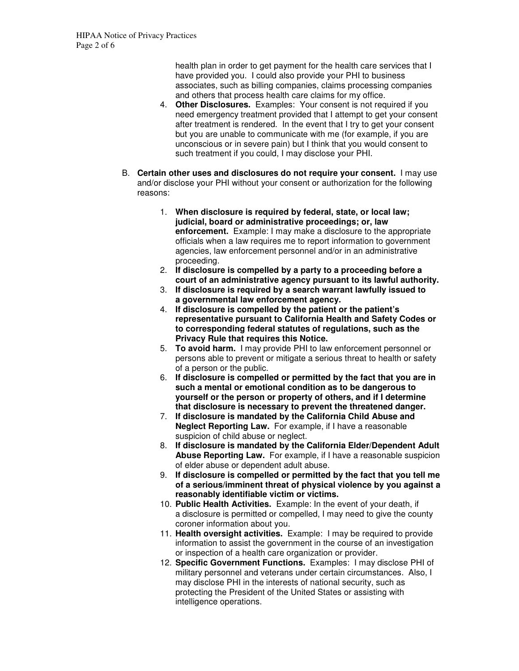health plan in order to get payment for the health care services that I have provided you. I could also provide your PHI to business associates, such as billing companies, claims processing companies and others that process health care claims for my office.

- 4. **Other Disclosures.** Examples: Your consent is not required if you need emergency treatment provided that I attempt to get your consent after treatment is rendered. In the event that I try to get your consent but you are unable to communicate with me (for example, if you are unconscious or in severe pain) but I think that you would consent to such treatment if you could, I may disclose your PHI.
- B. **Certain other uses and disclosures do not require your consent.** I may use and/or disclose your PHI without your consent or authorization for the following reasons:
	- 1. **When disclosure is required by federal, state, or local law; judicial, board or administrative proceedings; or, law enforcement.** Example: I may make a disclosure to the appropriate officials when a law requires me to report information to government agencies, law enforcement personnel and/or in an administrative proceeding.
	- 2. **If disclosure is compelled by a party to a proceeding before a court of an administrative agency pursuant to its lawful authority.**
	- 3. **If disclosure is required by a search warrant lawfully issued to a governmental law enforcement agency.**
	- 4. **If disclosure is compelled by the patient or the patient's representative pursuant to California Health and Safety Codes or to corresponding federal statutes of regulations, such as the Privacy Rule that requires this Notice.**
	- 5. **To avoid harm.** I may provide PHI to law enforcement personnel or persons able to prevent or mitigate a serious threat to health or safety of a person or the public.
	- 6. **If disclosure is compelled or permitted by the fact that you are in such a mental or emotional condition as to be dangerous to yourself or the person or property of others, and if I determine that disclosure is necessary to prevent the threatened danger.**
	- 7. **If disclosure is mandated by the California Child Abuse and Neglect Reporting Law.** For example, if I have a reasonable suspicion of child abuse or neglect.
	- 8. **If disclosure is mandated by the California Elder/Dependent Adult Abuse Reporting Law.** For example, if I have a reasonable suspicion of elder abuse or dependent adult abuse.
	- 9. **If disclosure is compelled or permitted by the fact that you tell me of a serious/imminent threat of physical violence by you against a reasonably identifiable victim or victims.**
	- 10. **Public Health Activities.** Example: In the event of your death, if a disclosure is permitted or compelled, I may need to give the county coroner information about you.
	- 11. **Health oversight activities.** Example: I may be required to provide information to assist the government in the course of an investigation or inspection of a health care organization or provider.
	- 12. **Specific Government Functions.** Examples: I may disclose PHI of military personnel and veterans under certain circumstances. Also, I may disclose PHI in the interests of national security, such as protecting the President of the United States or assisting with intelligence operations.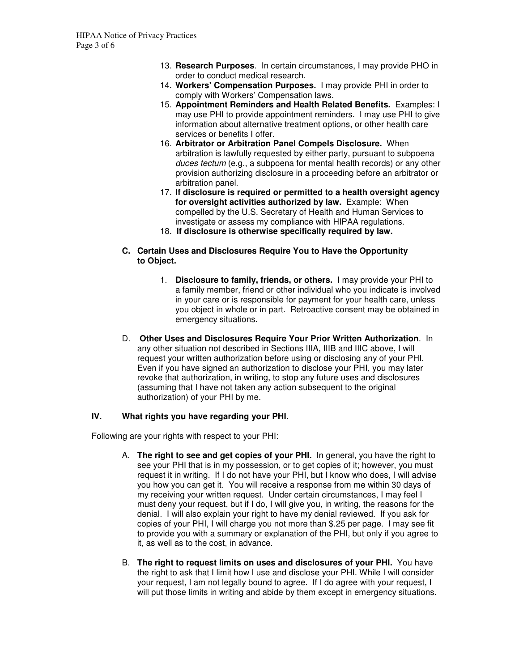- 13. **Research Purposes**. In certain circumstances, I may provide PHO in order to conduct medical research.
- 14. **Workers' Compensation Purposes.** I may provide PHI in order to comply with Workers' Compensation laws.
- 15. **Appointment Reminders and Health Related Benefits.** Examples: I may use PHI to provide appointment reminders. I may use PHI to give information about alternative treatment options, or other health care services or benefits I offer.
- 16. **Arbitrator or Arbitration Panel Compels Disclosure.** When arbitration is lawfully requested by either party, pursuant to subpoena duces tectum (e.g., a subpoena for mental health records) or any other provision authorizing disclosure in a proceeding before an arbitrator or arbitration panel.
- 17. **If disclosure is required or permitted to a health oversight agency for oversight activities authorized by law.** Example: When compelled by the U.S. Secretary of Health and Human Services to investigate or assess my compliance with HIPAA regulations.
- 18. **If disclosure is otherwise specifically required by law.**
- **C. Certain Uses and Disclosures Require You to Have the Opportunity to Object.** 
	- 1. **Disclosure to family, friends, or others.** I may provide your PHI to a family member, friend or other individual who you indicate is involved in your care or is responsible for payment for your health care, unless you object in whole or in part. Retroactive consent may be obtained in emergency situations.
- D. **Other Uses and Disclosures Require Your Prior Written Authorization**. In any other situation not described in Sections IIIA, IIIB and IIIC above, I will request your written authorization before using or disclosing any of your PHI. Even if you have signed an authorization to disclose your PHI, you may later revoke that authorization, in writing, to stop any future uses and disclosures (assuming that I have not taken any action subsequent to the original authorization) of your PHI by me.

#### **IV. What rights you have regarding your PHI.**

Following are your rights with respect to your PHI:

- A. **The right to see and get copies of your PHI.** In general, you have the right to see your PHI that is in my possession, or to get copies of it; however, you must request it in writing. If I do not have your PHI, but I know who does, I will advise you how you can get it. You will receive a response from me within 30 days of my receiving your written request. Under certain circumstances, I may feel I must deny your request, but if I do, I will give you, in writing, the reasons for the denial. I will also explain your right to have my denial reviewed. If you ask for copies of your PHI, I will charge you not more than \$.25 per page. I may see fit to provide you with a summary or explanation of the PHI, but only if you agree to it, as well as to the cost, in advance.
- B. **The right to request limits on uses and disclosures of your PHI.** You have the right to ask that I limit how I use and disclose your PHI. While I will consider your request, I am not legally bound to agree. If I do agree with your request, I will put those limits in writing and abide by them except in emergency situations.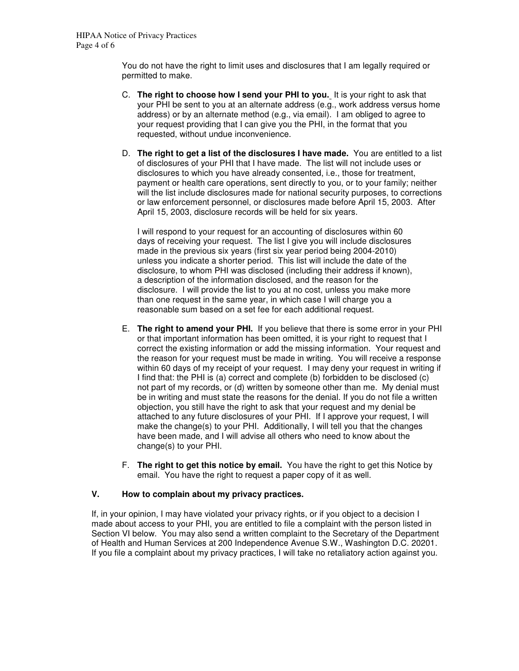You do not have the right to limit uses and disclosures that I am legally required or permitted to make.

- C. **The right to choose how I send your PHI to you.** It is your right to ask that your PHI be sent to you at an alternate address (e.g., work address versus home address) or by an alternate method (e.g., via email). I am obliged to agree to your request providing that I can give you the PHI, in the format that you requested, without undue inconvenience.
- D. **The right to get a list of the disclosures I have made.** You are entitled to a list of disclosures of your PHI that I have made. The list will not include uses or disclosures to which you have already consented, i.e., those for treatment, payment or health care operations, sent directly to you, or to your family; neither will the list include disclosures made for national security purposes, to corrections or law enforcement personnel, or disclosures made before April 15, 2003. After April 15, 2003, disclosure records will be held for six years.

 I will respond to your request for an accounting of disclosures within 60 days of receiving your request. The list I give you will include disclosures made in the previous six years (first six year period being 2004-2010) unless you indicate a shorter period. This list will include the date of the disclosure, to whom PHI was disclosed (including their address if known), a description of the information disclosed, and the reason for the disclosure. I will provide the list to you at no cost, unless you make more than one request in the same year, in which case I will charge you a reasonable sum based on a set fee for each additional request.

- E. **The right to amend your PHI.** If you believe that there is some error in your PHI or that important information has been omitted, it is your right to request that I correct the existing information or add the missing information. Your request and the reason for your request must be made in writing. You will receive a response within 60 days of my receipt of your request. I may deny your request in writing if I find that: the PHI is (a) correct and complete (b) forbidden to be disclosed (c) not part of my records, or (d) written by someone other than me. My denial must be in writing and must state the reasons for the denial. If you do not file a written objection, you still have the right to ask that your request and my denial be attached to any future disclosures of your PHI. If I approve your request, I will make the change(s) to your PHI. Additionally, I will tell you that the changes have been made, and I will advise all others who need to know about the change(s) to your PHI.
- F. **The right to get this notice by email.** You have the right to get this Notice by email. You have the right to request a paper copy of it as well.

### **V. How to complain about my privacy practices.**

If, in your opinion, I may have violated your privacy rights, or if you object to a decision I made about access to your PHI, you are entitled to file a complaint with the person listed in Section VI below. You may also send a written complaint to the Secretary of the Department of Health and Human Services at 200 Independence Avenue S.W., Washington D.C. 20201. If you file a complaint about my privacy practices, I will take no retaliatory action against you.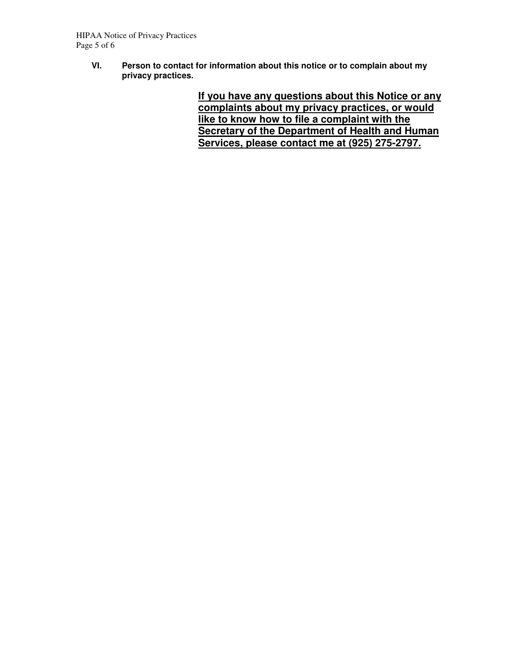**VI. Person to contact for information about this notice or to complain about my privacy practices.** 

> **If you have any questions about this Notice or any complaints about my privacy practices, or would like to know how to file a complaint with the Secretary of the Department of Health and Human Services, please contact me at (925) 275-2797.**